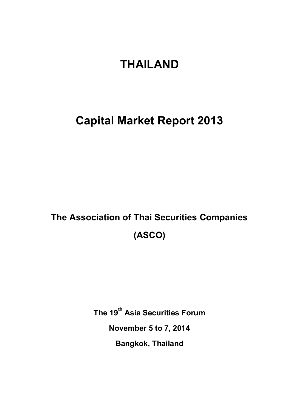# **THAILAND**

## **Capital Market Report 2013**

# **The Association of Thai Securities Companies (ASCO)**

**The 19 th Asia Securities Forum**

**November 5 to 7, 2014**

**Bangkok, Thailand**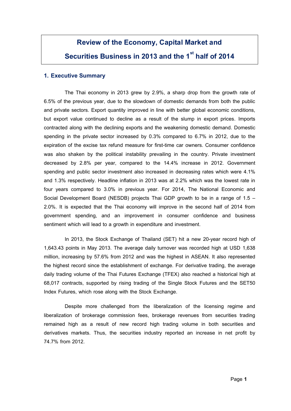## **Review of the Economy, Capital Market and Securities Business in 2013 and the 1sthalf of 2014**

#### **1. Executive Summary**

The Thai economy in 2013 grew by 2.9%, a sharp drop from the growth rate of 6.5% of the previous year, due to the slowdown of domestic demands from both the public and private sectors. Export quantity improved in line with better global economic conditions, but export value continued to decline as a result of the slump in export prices. Imports contracted along with the declining exports and the weakening domestic demand. Domestic spending in the private sector increased by 0.3% compared to 6.7% in 2012, due to the expiration of the excise tax refund measure for first-time car owners. Consumer confidence was also shaken by the political instability prevailing in the country. Private investment decreased by 2.8% per year, compared to the 14.4% increase in 2012. Government spending and public sector investment also increased in decreasing rates which were 4.1% and 1.3% respectively. Headline inflation in 2013 was at 2.2% which was the lowest rate in four years compared to 3.0% in previous year. For 2014, The National Economic and Social Development Board (NESDB) projects Thai GDP growth to be in a range of 1.5 – 2.0%. It is expected that the Thai economy will improve in the second half of 2014 from government spending, and an improvement in consumer confidence and business sentiment which will lead to a growth in expenditure and investment.

In 2013, the Stock Exchange of Thailand (SET) hit a new 20-year record high of 1,643.43 points in May 2013. The average daily turnover was recorded high at USD 1,638 million, increasing by 57.6% from 2012 and was the highest in ASEAN. It also represented the highest record since the establishment of exchange. For derivative trading, the average daily trading volume of the Thai Futures Exchange (TFEX) also reached a historical high at 68,017 contracts, supported by rising trading of the Single Stock Futures and the SET50 Index Futures, which rose along with the Stock Exchange.

Despite more challenged from the liberalization of the licensing regime and liberalization of brokerage commission fees, brokerage revenues from securities trading remained high as a result of new record high trading volume in both securities and derivatives markets. Thus, the securities industry reported an increase in net profit by 74.7% from 2012.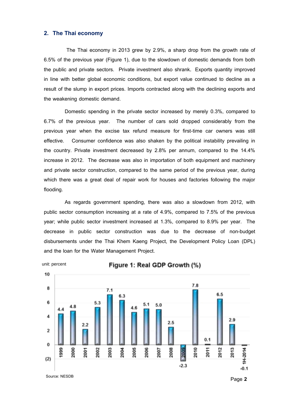#### **2. The Thai economy**

The Thai economy in 2013 grew by 2.9%, a sharp drop from the growth rate of 6.5% of the previous year (Figure 1), due to the slowdown of domestic demands from both the public and private sectors. Private investment also shrank. Exports quantity improved in line with better global economic conditions, but export value continued to decline as a result of the slump in export prices. Imports contracted along with the declining exports and the weakening domestic demand.

Domestic spending in the private sector increased by merely 0.3%, compared to 6.7% of the previous year. The number of cars sold dropped considerably from the previous year when the excise tax refund measure for first-time car owners was still effective. Consumer confidence was also shaken by the political instability prevailing in the country. Private investment decreased by 2.8% per annum, compared to the 14.4% increase in 2012. The decrease was also in importation of both equipment and machinery and private sector construction, compared to the same period of the previous year, during which there was a great deal of repair work for houses and factories following the major flooding.

As regards government spending, there was also a slowdown from 2012, with public sector consumption increasing at a rate of 4.9%, compared to 7.5% of the previous year; while public sector investment increased at 1.3%, compared to 8.9% per year. The decrease in public sector construction was due to the decrease of non-budget disbursements under the Thai Khem Kaeng Project, the Development Policy Loan (DPL) and the loan for the Water Management Project.



10

Figure 1: Real GDP Growth (%)



Source: NESDB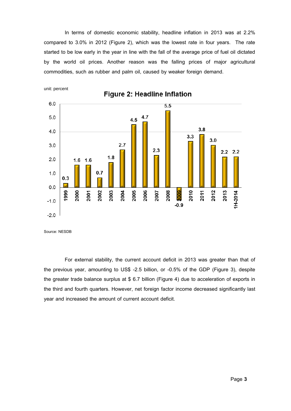In terms of domestic economic stability, headline inflation in 2013 was at 2.2% compared to 3.0% in 2012 (Figure 2), which was the lowest rate in four years. The rate started to be low early in the year in line with the fall of the average price of fuel oil dictated by the world oil prices. Another reason was the falling prices of major agricultural commodities, such as rubber and palm oil, caused by weaker foreign demand.



Source: NESDB

For external stability, the current account deficit in 2013 was greater than that of the previous year, amounting to US\$ -2.5 billion, or -0.5% of the GDP (Figure 3), despite the greater trade balance surplus at \$ 6.7 billion (Figure 4) due to acceleration of exports in the third and fourth quarters. However, net foreign factor income decreased significantly last year and increased the amount of current account deficit.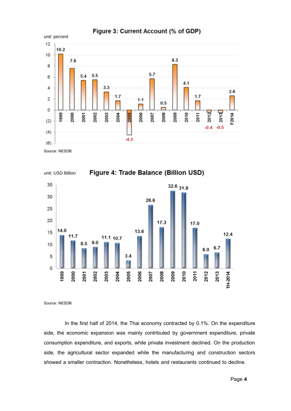

Source: NESDB



Source: NESDB

In the first half of 2014, the Thai economy contracted by 0.1%. On the expenditure side, the economic expansion was mainly contributed by government expenditure, private consumption expenditure, and exports, while private investment declined. On the production side, the agricultural sector expanded while the manufacturing and construction sectors showed a smaller contraction. Nonetheless, hotels and restaurants continued to decline.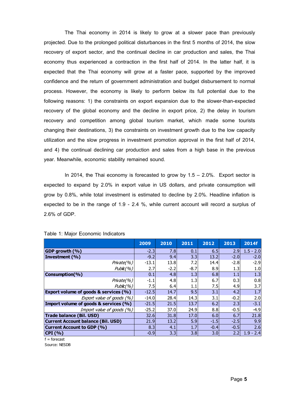The Thai economy in 2014 is likely to grow at a slower pace than previously projected. Due to the prolonged political disturbances in the first 5 months of 2014, the slow recovery of export sector, and the continual decline in car production and sales, the Thai economy thus experienced a contraction in the first half of 2014. In the latter half, it is expected that the Thai economy will grow at a faster pace, supported by the improved confidence and the return of government administration and budget disbursement to normal process. However, the economy is likely to perform below its full potential due to the following reasons: 1) the constraints on export expansion due to the slower-than-expected recovery of the global economy and the decline in export price, 2) the delay in tourism recovery and competition among global tourism market, which made some tourists changing their destinations, 3) the constraints on investment growth due to the low capacity utilization and the slow progress in investment promotion approval in the first half of 2014, and 4) the continual declining car production and sales from a high base in the previous year. Meanwhile, economic stability remained sound.

In 2014, the Thai economy is forecasted to grow by  $1.5 - 2.0\%$ . Export sector is expected to expand by 2.0% in export value in US dollars, and private consumption will grow by 0.8%, while total investment is estimated to decline by 2.0%. Headline inflation is expected to be in the range of 1.9 - 2.4 %, while current account will record a surplus of 2.6% of GDP.

|                                                  | 2009    | 2010   | 2011   | 2012             | 2013   | 2014f       |
|--------------------------------------------------|---------|--------|--------|------------------|--------|-------------|
| GDP growth (%)                                   | $-2.3$  | 7.8    | 0.1    | 6.5              | 2.9    | $1.5 - 2.0$ |
| Investment (%)                                   | $-9.2$  | 9.4    | 3.3    | 13.2             | $-2.0$ | $-2.0$      |
| Private(%)                                       | $-13.1$ | 13.8   | 7.2    | 14.4             | $-2.8$ | $-2.9$      |
| Public(%')                                       | 2.7     | $-2.2$ | $-8.7$ | 8.9              | 1.3    | 1.0         |
| Consumption(%)                                   | 0.1     | 4.8    | 1.3    | 6.8              | 1.1    | 1.3         |
| Private(%)                                       | $-1.1$  | 4.8    | 1.3    | 6.7              | 0.3    | 0.8         |
| Public(%')                                       | 7.5     | 6.4    | 1.1    | 7.5              | 4.9    | 3.7         |
| <b>Export volume of goods &amp; services (%)</b> | $-12.5$ | 14.7   | 9.5    | 3.1              | 4.2    | 1.7         |
| Export value of goods $(%)$                      | $-14.0$ | 28.4   | 14.3   | 3.1              | $-0.2$ | 2.0         |
| Import volume of goods & services (%)            | $-21.5$ | 21.5   | 13.7   | 6.2              | 2.3    | $-3.1$      |
| Import value of goods $(%)$                      | $-25.2$ | 37.0   | 24.9   | 8.8              | $-0.5$ | $-4.9$      |
| Trade balance (Bil. USD)                         | 32.6    | 31.8   | 17.0   | 6.0              | 6.7    | 21.8        |
| <b>Current Account balance (Bil. USD)</b>        | 21.9    | 13.2   | 5.9    | $-1.5$           | $-2.5$ | 9.9         |
| Current Account to GDP (%)                       | 8.3     | 4.1    | 1.7    | $-0.4$           | $-0.5$ | 2.6         |
| CPI(%)                                           | $-0.9$  | 3.3    | 3.8    | 3.0 <sub>l</sub> | 2.2    | $1.9 - 2.4$ |
| $f =$ forecast                                   |         |        |        |                  |        |             |

#### Table 1: Major Economic Indicators

f = forecast

Source: NESDB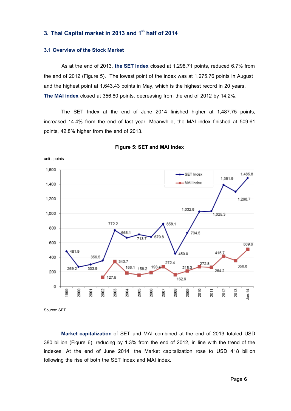### **3. Thai Capital market in 2013 and 1sthalf of 2014**

#### **3.1 Overview of the Stock Market**

As at the end of 2013, **the SET index** closed at 1,298.71 points, reduced 6.7% from the end of 2012 (Figure 5). The lowest point of the index was at 1,275.76 points in August and the highest point at 1,643.43 points in May, which is the highest record in 20 years. **The MAI index** closed at 356.80 points, decreasing from the end of 2012 by 14.2%.

The SET Index at the end of June 2014 finished higher at 1,487.75 points, increased 14.4% from the end of last year. Meanwhile, the MAI index finished at 509.61 points, 42.8% higher from the end of 2013.



#### **Figure 5: SET and MAI Index**

Source: SET

**Market capitalization** of SET and MAI combined at the end of 2013 totaled USD 380 billion (Figure 6), reducing by 1.3% from the end of 2012, in line with the trend of the indexes. At the end of June 2014, the Market capitalization rose to USD 418 billion following the rise of both the SET Index and MAI index.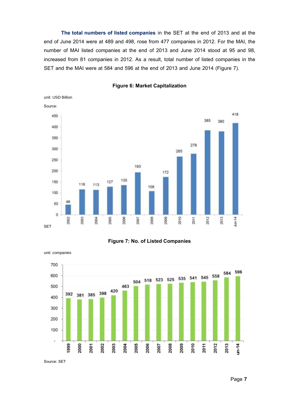**The total numbers of listed companies** in the SET at the end of 2013 and at the end of June 2014 were at 489 and 498, rose from 477 companies in 2012. For the MAI, the number of MAI listed companies at the end of 2013 and June 2014 stood at 95 and 98, increased from 81 companies in 2012. As a result, total number of listed companies in the SET and the MAI were at 584 and 596 at the end of 2013 and June 2014 (Figure 7).



#### **Figure 6: Market Capitalization**





unit: companies

Source: SET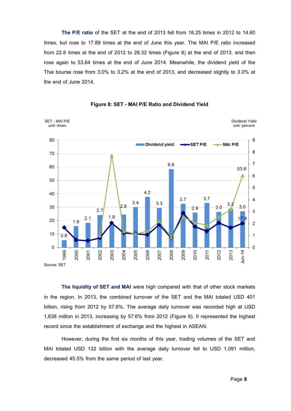**The P/E ratio** of the SET at the end of 2013 fell from 18.25 times in 2012 to 14.60 times, but rose to 17.89 times at the end of June this year. The MAI P/E ratio increased from 22.8 times at the end of 2012 to 28.32 times (Figure 8) at the end of 2013, and then rose again to 53.64 times at the end of June 2014. Meanwhile, the dividend yield of the Thai bourse rose from 3.0% to 3.2% at the end of 2013, and decreased slightly to 3.0% at the end of June 2014.



**Figure 8: SET - MAI P/E Ratio and Dividend Yield**

**The liquidity of SET and MAI** were high compared with that of other stock markets in the region. In 2013, the combined turnover of the SET and the MAI totaled USD 401 billion, rising from 2012 by 57.6%. The average daily turnover was recorded high at USD 1,638 million in 2013, increasing by 57.6% from 2012 (Figure 9). It represented the highest record since the establishment of exchange and the highest in ASEAN.

However, during the first six months of this year, trading volumes of the SET and MAI totaled USD 132 billion with the average daily turnover fell to USD 1,091 million, decreased 45.5% from the same period of last year.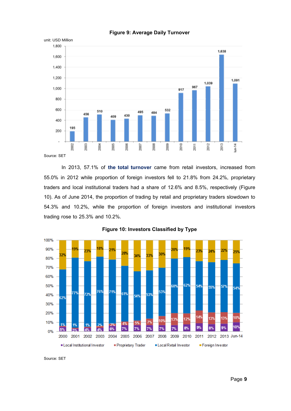

#### **Figure 9: Average Daily Turnover**

Source: SET

In 2013, 57.1% of **the total turnover** came from retail investors, increased from 55.0% in 2012 while proportion of foreign investors fell to 21.8% from 24.2%, proprietary traders and local institutional traders had a share of 12.6% and 8.5%, respectively (Figure 10). As of June 2014, the proportion of trading by retail and proprietary traders slowdown to 54.3% and 10.2%, while the proportion of foreign investors and institutional investors trading rose to 25.3% and 10.2%.



#### **Figure 10: Investors Classified by Type**

Source: SET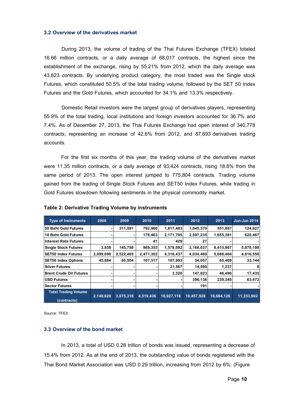#### **3.2 Overview of the derivatives market**

During 2013, the volume of trading of the Thai Futures Exchange (TFEX) totaled 16.66 million contracts, or a daily average of 68,017 contracts, the highest since the establishment of the exchange, rising by 55.21% from 2012, which the daily average was 43,823 contracts. By underlying product category, the most traded was the Single stock Futures, which constituted 50.5% of the total trading volume, followed by the SET 50 Index Futures and the Gold Futures, which accounted for 34.1% and 13.3% respectively.

Domestic Retail investors were the largest group of derivatives players, representing 55.9% of the total trading, local institutions and foreign investors accounted for 36.7% and 7.4%. As of December 27, 2013, the Thai Futures Exchange had open interest of 340,778 contracts, representing an increase of 42.6% from 2012, and 87,693 derivatives trading accounts.

For the first six months of this year, the trading volume of the derivatives market were 11.35 million contracts, or a daily average of 93,424 contracts, rising 18.8% from the same period of 2013. The open interest jumped to 775,804 contracts. Trading volume gained from the trading of Single Stock Futures and SET50 Index Futures, while trading in Gold Futures slowdown following sentiments in the physical commodity market.

| Table 2: Derivative Trading Volume by instruments |           |           |           |            |            |            |                     |
|---------------------------------------------------|-----------|-----------|-----------|------------|------------|------------|---------------------|
| <b>Type of Instruments</b>                        | 2008      | 2009      | 2010      | 2011       | 2012       | 2013       | <b>Jun-Jun 2014</b> |
| l50 Baht Gold Futures                             |           | 311,591   | 792,960   | 1,817,483  | 1,045,370  | 551,887    | 124,627             |
| <b>10 Baht Gold Futures</b>                       |           |           | 178,463   | 2,171,795  | 2,597,235  | 1,655,381  | 620,467             |
| lInterest Rate Futures                            |           |           | 41        | 429        | 27         |            |                     |
| Single Stock Futures                              | 3,838     | 145,758   | 969,353   | 1,578,092  | 2,168,037  | 8,415,967  | 5,878,198           |
| <b>ISET50 Index Futures</b>                       | 2,099,098 | 2,522,465 | 2,471,302 | 4,316,437  | 4,034,460  | 5,688,404  | 4,616,550           |
| <b>SET50 Index Options</b>                        | 45,684    | 95,504    | 107,317   | 107,993    | 54,057     | 65,409     | 33,144              |
| lSilver Futures                                   |           |           |           | 31,567     | 14,590     | 1,237      | 9                   |
| Brent Crude Oil Futures                           |           |           |           | 3,320      | 147,823    | 46,496     | 17,435              |
| <b>IUSD Futures</b>                               |           |           |           |            | 396,138    | 239,345    | 63,472              |
| lSector Futures                                   |           |           |           |            | 191        |            |                     |
| <b>Total Trading Volume</b><br>(contracts)        | 2,148,620 | 3,075,318 | 4,519,436 | 10,027,116 | 10,457,928 | 16,664,126 | 11,353,902          |

#### **Table 2: Derivative Trading Volume by instruments**

Source: TFEX

#### **3.3 Overview of the bond market**

In 2013, a total of USD 0.28 trillion of bonds was issued, representing a decrease of 15.4% from 2012. As at the end of 2013, the outstanding value of bonds registered with the Thai Bond Market Association was USD 0.29 trillion, increasing from 2012 by 6%. (Figure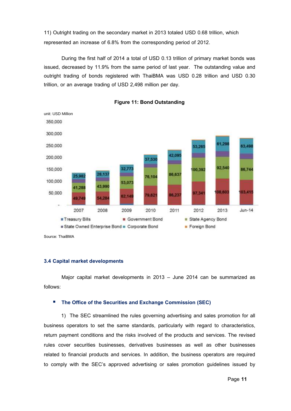11) Outright trading on the secondary market in 2013 totaled USD 0.68 trillion, which represented an increase of 6.8% from the corresponding period of 2012.

During the first half of 2014 a total of USD 0.13 trillion of primary market bonds was issued, decreased by 11.9% from the same period of last year. The outstanding value and outright trading of bonds registered with ThaiBMA was USD 0.28 trillion and USD 0.30 trillion, or an average trading of USD 2,498 million per day.





Source: ThaiBMA

#### **3.4 Capital market developments**

Major capital market developments in 2013 – June 2014 can be summarized as follows:

#### ■ The Office of the Securities and Exchange Commission (SEC)

1) The SEC streamlined the rules governing advertising and sales promotion for all business operators to set the same standards, particularly with regard to characteristics, return payment conditions and the risks involved of the products and services. The revised rules cover securities businesses, derivatives businesses as well as other businesses related to financial products and services. In addition, the business operators are required to comply with the SEC's approved advertising or sales promotion guidelines issued by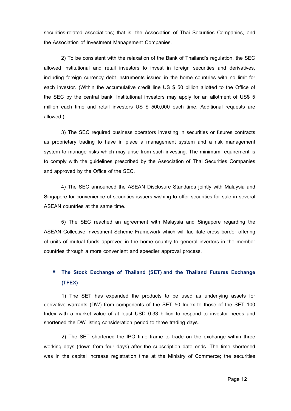securities-related associations; that is, the Association of Thai Securities Companies, and the Association of Investment Management Companies.

2) To be consistent with the relaxation of the Bank of Thailand's regulation, the SEC allowed institutional and retail investors to invest in foreign securities and derivatives, including foreign currency debt instruments issued in the home countries with no limit for each investor. (Within the accumulative credit line US \$ 50 billion allotted to the Office of the SEC by the central bank. Institutional investors may apply for an allotment of US\$ 5 million each time and retail investors US \$ 500,000 each time. Additional requests are allowed.)

3) The SEC required business operators investing in securities or futures contracts as proprietary trading to have in place a management system and a risk management system to manage risks which may arise from such investing. The minimum requirement is to comply with the guidelines prescribed by the Association of Thai Securities Companies and approved by the Office of the SEC.

4) The SEC announced the ASEAN Disclosure Standards jointly with Malaysia and Singapore for convenience of securities issuers wishing to offer securities for sale in several ASEAN countries at the same time.

5) The SEC reached an agreement with Malaysia and Singapore regarding the ASEAN Collective Investment Scheme Framework which will facilitate cross border offering of units of mutual funds approved in the home country to general invertors in the member countries through a more convenient and speedier approval process.

### **The Stock Exchange of Thailand (SET) and the Thailand Futures Exchange (TFEX)**

1) The SET has expanded the products to be used as underlying assets for derivative warrants (DW) from components of the SET 50 Index to those of the SET 100 Index with a market value of at least USD 0.33 billion to respond to investor needs and shortened the DW listing consideration period to three trading days.

2) The SET shortened the IPO time frame to trade on the exchange within three working days (down from four days) after the subscription date ends. The time shortened was in the capital increase registration time at the Ministry of Commerce; the securities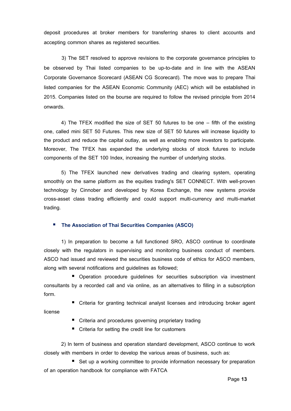deposit procedures at broker members for transferring shares to client accounts and accepting common shares as registered securities.

3) The SET resolved to approve revisions to the corporate governance principles to be observed by Thai listed companies to be up-to-date and in line with the ASEAN Corporate Governance Scorecard (ASEAN CG Scorecard). The move was to prepare Thai listed companies for the ASEAN Economic Community (AEC) which will be established in 2015. Companies listed on the bourse are required to follow the revised principle from 2014 onwards.

4) The TFEX modified the size of SET 50 futures to be one – fifth of the existing one, called mini SET 50 Futures. This new size of SET 50 futures will increase liquidity to the product and reduce the capital outlay, as well as enabling more investors to participate. Moreover, The TFEX has expanded the underlying stocks of stock futures to include components of the SET 100 Index, increasing the number of underlying stocks.

5) The TFEX launched new derivatives trading and clearing system, operating smoothly on the same platform as the equities trading's SET CONNECT. With well-proven technology by Cinnober and developed by Korea Exchange, the new systems provide cross-asset class trading efficiently and could support multi-currency and multi-market trading.

#### **The Association of Thai Securities Companies (ASCO)**

1) In preparation to become a full functioned SRO, ASCO continue to coordinate closely with the regulators in supervising and monitoring business conduct of members. ASCO had issued and reviewed the securities business code of ethics for ASCO members, along with several notifications and guidelines as followed;

 Operation procedure guidelines for securities subscription via investment consultants by a recorded call and via online, as an alternatives to filling in a subscription form.

■ Criteria for granting technical analyst licenses and introducing broker agent

- Criteria and procedures governing proprietary trading
- Criteria for setting the credit line for customers

license

2) In term of business and operation standard development, ASCO continue to work closely with members in order to develop the various areas of business, such as:

■ Set up a working committee to provide information necessary for preparation of an operation handbook for compliance with FATCA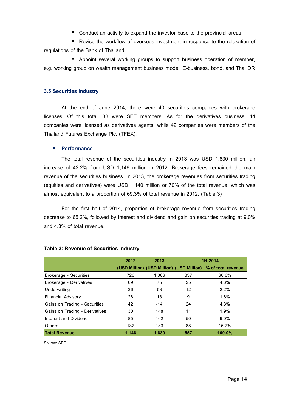■ Conduct an activity to expand the investor base to the provincial areas

 Revise the workflow of overseas investment in response to the relaxation of regulations of the Bank of Thailand

**Appoint several working groups to support business operation of member,** e.g. working group on wealth management business model, E-business, bond, and Thai DR

#### **3.5 Securities industry**

At the end of June 2014, there were 40 securities companies with brokerage licenses. Of this total, 38 were SET members. As for the derivatives business, 44 companies were licensed as derivatives agents, while 42 companies were members of the Thailand Futures Exchange Plc. (TFEX).

#### **Performance**

The total revenue of the securities industry in 2013 was USD 1,630 million, an increase of 42.2% from USD 1,146 million in 2012. Brokerage fees remained the main revenue of the securities business. In 2013, the brokerage revenues from securities trading (equities and derivatives) were USD 1,140 million or 70% of the total revenue, which was almost equivalent to a proportion of 69.3% of total revenue in 2012. (Table 3)

For the first half of 2014, proportion of brokerage revenue from securities trading decrease to 65.2%, followed by interest and dividend and gain on securities trading at 9.0% and 4.3% of total revenue.

|                                | 2012  | 2013  |                                           | 1H-2014            |
|--------------------------------|-------|-------|-------------------------------------------|--------------------|
|                                |       |       | (USD Million) (USD Million) (USD Million) | % of total revenue |
| Brokerage - Securities         | 726   | 1,066 | 337                                       | 60.6%              |
| Brokerage - Derivatives        | 69    | 75    | 25                                        | 4.6%               |
| Underwriting                   | 36    | 53    | $12 \overline{ }$                         | 2.2%               |
| <b>Financial Advisory</b>      | 28    | 18    | 9                                         | 1.6%               |
| Gains on Trading - Securities  | 42    | $-14$ | 24                                        | 4.3%               |
| Gains on Trading - Derivatives | 30    | 148   | 11                                        | 1.9%               |
| Interest and Dividend          | 85    | 102   | 50                                        | $9.0\%$            |
| <b>Others</b>                  | 132   | 183   | 88                                        | 15.7%              |
| <b>Total Revenue</b>           | 1,146 | 1,630 | 557                                       | 100.0%             |

#### **Table 3: Revenue of Securities Industry**

Source: SEC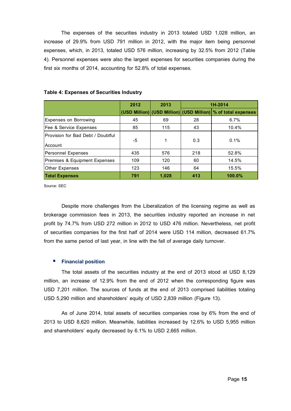The expenses of the securities industry in 2013 totaled USD 1,028 million, an increase of 29.9% from USD 791 million in 2012, with the major item being personnel expenses, which, in 2013, totaled USD 576 million, increasing by 32.5% from 2012 (Table 4). Personnel expenses were also the largest expenses for securities companies during the first six months of 2014, accounting for 52.8% of total expenses.

|                                              | 2012 | 2013  | 1H-2014 |                                                                 |
|----------------------------------------------|------|-------|---------|-----------------------------------------------------------------|
|                                              |      |       |         | (USD Million) (USD Million) (USD Million)   % of total expenses |
| <b>Expenses on Borrowing</b>                 | 45   | 69    | 28      | 6.7%                                                            |
| <b> Fee &amp; Service Expenses</b>           | 85   | 115   | 43      | 10.4%                                                           |
| Provision for Bad Debt / Doubtful<br>Account | -5   | 1     | 0.3     | $0.1\%$                                                         |
| Personnel Expenses                           | 435  | 576   | 218     | 52.8%                                                           |
| Premises & Equipment Expenses                | 109  | 120   | 60      | 14.5%                                                           |
| <b>Other Expenses</b>                        | 123  | 146   | 64      | 15.5%                                                           |
| <b>Total Expenses</b>                        | 791  | 1.028 | 413     | 100.0%                                                          |

#### **Table 4: Expenses of Securities Industry**

Source: SEC

Despite more challenges from the Liberalization of the licensing regime as well as brokerage commission fees in 2013, the securities industry reported an increase in net profit by 74.7% from USD 272 million in 2012 to USD 476 million. Nevertheless, net profit of securities companies for the first half of 2014 were USD 114 million, decreased 61.7% from the same period of last year, in line with the fall of average daily turnover.

#### **Financial position**

The total assets of the securities industry at the end of 2013 stood at USD 8,129 million, an increase of 12.9% from the end of 2012 when the corresponding figure was USD 7,201 million. The sources of funds at the end of 2013 comprised liabilities totaling USD 5,290 million and shareholders' equity of USD 2,839 million (Figure 13).

As of June 2014, total assets of securities companies rose by 6% from the end of 2013 to USD 8,620 million. Meanwhile, liabilities increased by 12.6% to USD 5,955 million and shareholders' equity decreased by 6.1% to USD 2,665 million.